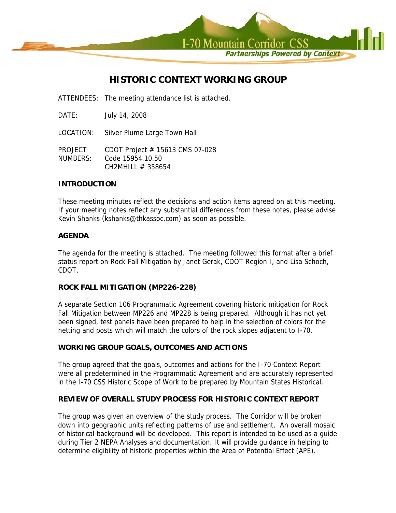

# **HISTORIC CONTEXT WORKING GROUP**

ATTENDEES: The meeting attendance list is attached.

DATE: July 14, 2008

LOCATION: Silver Plume Large Town Hall

PROJECT CDOT Project # 15613 CMS 07-028 NUMBERS: Code 15954.10.50 CH2MHILL # 358654

### **INTRODUCTION**

These meeting minutes reflect the decisions and action items agreed on at this meeting. If your meeting notes reflect any substantial differences from these notes, please advise Kevin Shanks (kshanks@thkassoc.com) as soon as possible.

## **AGENDA**

The agenda for the meeting is attached. The meeting followed this format after a brief status report on Rock Fall Mitigation by Janet Gerak, CDOT Region I, and Lisa Schoch, CDOT.

## **ROCK FALL MITIGATION (MP226-228)**

A separate Section 106 Programmatic Agreement covering historic mitigation for Rock Fall Mitigation between MP226 and MP228 is being prepared. Although it has not yet been signed, test panels have been prepared to help in the selection of colors for the netting and posts which will match the colors of the rock slopes adjacent to I-70.

## **WORKING GROUP GOALS, OUTCOMES AND ACTIONS**

The group agreed that the goals, outcomes and actions for the I-70 Context Report were all predetermined in the Programmatic Agreement and are accurately represented in the I-70 CSS Historic Scope of Work to be prepared by Mountain States Historical.

## **REVIEW OF OVERALL STUDY PROCESS FOR HISTORIC CONTEXT REPORT**

The group was given an overview of the study process. The Corridor will be broken down into geographic units reflecting patterns of use and settlement. An overall mosaic of historical background will be developed. This report is intended to be used as a guide during Tier 2 NEPA Analyses and documentation. It will provide guidance in helping to determine eligibility of historic properties within the Area of Potential Effect (APE).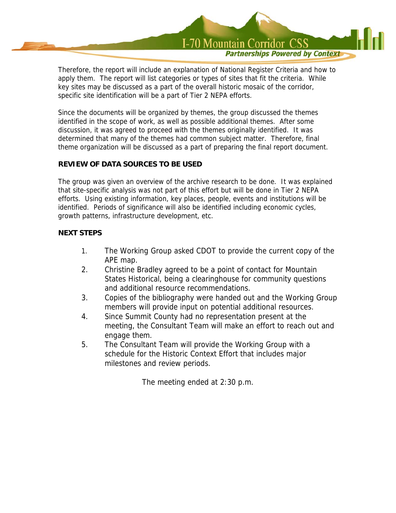

Therefore, the report will include an explanation of National Register Criteria and how to apply them. The report will list categories or types of sites that fit the criteria. While key sites may be discussed as a part of the overall historic mosaic of the corridor, specific site identification will be a part of Tier 2 NEPA efforts.

Since the documents will be organized by themes, the group discussed the themes identified in the scope of work, as well as possible additional themes. After some discussion, it was agreed to proceed with the themes originally identified. It was determined that many of the themes had common subject matter. Therefore, final theme organization will be discussed as a part of preparing the final report document.

## **REVIEW OF DATA SOURCES TO BE USED**

The group was given an overview of the archive research to be done. It was explained that site-specific analysis was not part of this effort but will be done in Tier 2 NEPA efforts. Using existing information, key places, people, events and institutions will be identified. Periods of significance will also be identified including economic cycles, growth patterns, infrastructure development, etc.

## **NEXT STEPS**

- 1. The Working Group asked CDOT to provide the current copy of the APE map.
- 2. Christine Bradley agreed to be a point of contact for Mountain States Historical, being a clearinghouse for community questions and additional resource recommendations.
- 3. Copies of the bibliography were handed out and the Working Group members will provide input on potential additional resources.
- 4. Since Summit County had no representation present at the meeting, the Consultant Team will make an effort to reach out and engage them.
- 5. The Consultant Team will provide the Working Group with a schedule for the Historic Context Effort that includes major milestones and review periods.

The meeting ended at 2:30 p.m.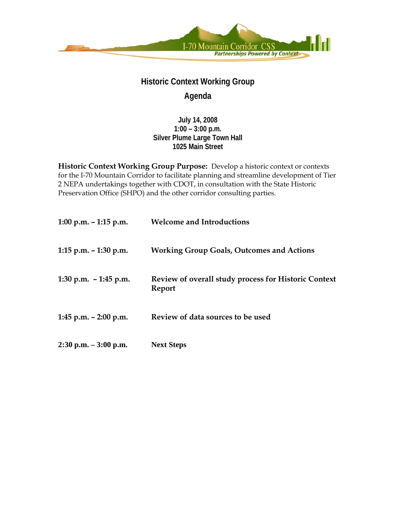

# **Historic Context Working Group Agenda**

**July 14, 2008 1:00 – 3:00 p.m. Silver Plume Large Town Hall 1025 Main Street** 

Historic Context Working Group Purpose: Develop a historic context or contexts for the I-70 Mountain Corridor to facilitate planning and streamline development of Tier 2 NEPA undertakings together with CDOT, in consultation with the State Historic Preservation Office (SHPO) and the other corridor consulting parties.

| 1:00 p.m. – 1:15 p.m.    | <b>Welcome and Introductions</b>                                      |
|--------------------------|-----------------------------------------------------------------------|
| 1:15 p.m. – 1:30 p.m.    | <b>Working Group Goals, Outcomes and Actions</b>                      |
| 1:30 p.m. $-1:45$ p.m.   | <b>Review of overall study process for Historic Context</b><br>Report |
| 1:45 p.m. – 2:00 p.m.    | Review of data sources to be used                                     |
| $2:30$ p.m. $-3:00$ p.m. | <b>Next Steps</b>                                                     |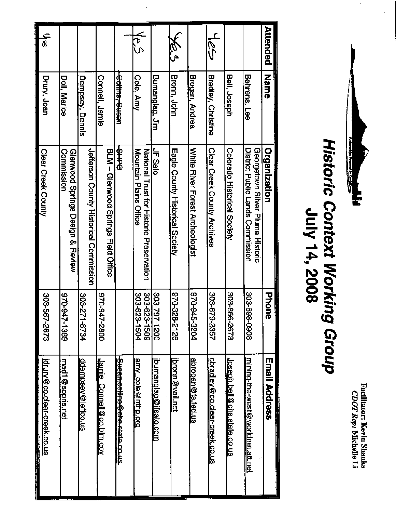

| Attended                 | <b>Name</b>            | Organization                                                         | <b>Phone</b>                 | <b>Email Address</b>                    |
|--------------------------|------------------------|----------------------------------------------------------------------|------------------------------|-----------------------------------------|
|                          | Behrens, Lee           | District Public Lands Commission<br>Georgetown Silver Plume Historic | 302-898-0908                 | <u>mining-the-west@worldnet.att.net</u> |
|                          | Bell, Joseph           | Colorado Historical Society                                          | 303-866-2673                 | <u>Joseph bell@chs state.co.us</u>      |
| $\frac{1}{8}$            | Bradley, Christine     | <b>Clear Creek County Archives</b>                                   | 19-81<br>79-2357             | cbradley@co.clear-creek.co.us           |
|                          | Brogan, Andrea         | White River Forest Archeologist                                      | 426-345-3204                 | <u>abrogan</u> @fs.fed.us               |
| <b>K</b><br>P            | <b>Bronn, John</b>     | Eagle County Historical Society                                      | 970-328-2126                 | bronn @vail.net                         |
|                          | Bumanglag, Jim         | JF Sato                                                              | 303-797-1200                 | <u>bumanqlag@ifsato.com</u>             |
| क<br>रे                  | Cole, Amy              | Mountain Plains Office<br>National Trust for Historic Preservation   | 303-623-1509<br>303-623-1504 | amy_cole@nthp.org                       |
|                          | <b>Politics</b> Cuesar | \$<br>PHP                                                            |                              | Susan collino@che.stata.co.us.          |
|                          | Connell, Jamie         | BLM - Glenwood Springs Field Office                                  | 070-947-2800                 | <u>Jamie Connell@co.blm.gov</u>         |
|                          | Dempsey, Dennis        | Jefferson County Historical Commission                               | 303-2<br>11-8734             | <u>ddempsey @ jeffco.us</u>             |
|                          | Doll, Marice           | Commission<br>Glenwood Springs Design & Review                       | 76-026<br>47-1389            | <u>mad1 @ sopris.net</u>                |
| $\overline{\mathcal{B}}$ | Drury, Joan            | Clear Creek County                                                   | 903-51<br><b>87-2673</b>     | jdrury@co.clear-creek.co.us<br>i di se  |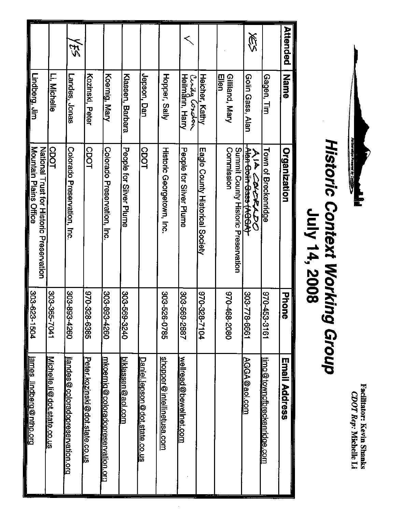

| Attended   | <b>Name</b>                      | <b>Organization</b>                               | 공유<br>Ö      | Email Address                             |
|------------|----------------------------------|---------------------------------------------------|--------------|-------------------------------------------|
|            | Gagen, Tim                       | Town of Breckenridge                              | 970-453-3161 | timg@townofbreckenridge.com               |
| 溪          | Golin Gass, Alan                 | <b>Address throught</b><br>入こと いびじゃんり             | 303-778-6661 | AGGA@aol.com                              |
|            | Ellen<br>Gilliand, Mary          | Commission<br>Summit County Historic Preservation | 0802-897-026 |                                           |
|            | Heicher, Kathy                   | Eagle County Historical Society                   | 970-328-7104 |                                           |
|            | Curzy Corchon<br>Heilmânn, Harry | People tor Silver Plume                           | 303-569-2887 | wellread@bewellnet.com                    |
|            | Hopper, Sally                    | Historic Georgetoxn, Inc.                         | 303-526-0785 | <u>shopper@intellinetusa.com</u>          |
|            | Jepson, Dan                      | <b>CDOT</b>                                       |              | <u>Daniel iepson@dot.state.co.us</u>      |
|            | Klassen, Barbara                 | People for Silver Plume                           | 303-569-3240 | <u>biklassen@aol.com</u>                  |
|            | Koernig, Mary                    | Colorado Preservation, Inc.                       | 303-893-4260 | mkoernig@coloradopreservation.org         |
|            | Kozinski, Peter                  | <b>CDOT</b>                                       | 370-328-6385 | Peter.kozinski@dot.state.co.us            |
| <b>XES</b> | Landes, Jonas                    | Colorado Preservation, Inc.                       | 303-893-4260 | <u>ilandes @ coloradopreservation.org</u> |
|            | Li, Nichelle                     | <b>CDOT</b>                                       | 102-365-7041 | Michelle.li@dot.state.co.us               |
|            | <u>Lindberg, Jim</u>             | National Trust for Historic Preservation          |              |                                           |
|            |                                  | Mountain Plains Office                            | 303-623-1504 | <u>james lindberg@nthp.org</u>            |

 $\ddot{\phantom{0}}$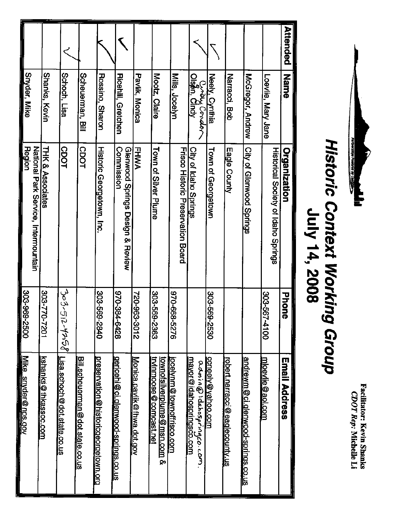

| Attended | Name                                       | Organization                                          | <b>Phon</b><br>ō | Email Address                                                         |
|----------|--------------------------------------------|-------------------------------------------------------|------------------|-----------------------------------------------------------------------|
|          | Loevie, Mary Jane                          | Historical Society of Idaho Springs                   | 303-567-4100     | mloevlie@aol.com                                                      |
|          | McGregor, Andrew                           | City of Glenwood Springs                              |                  | andrewm@ci.glenwood-springs.co.us                                     |
|          | Narracci, Bob                              | Eagle County                                          |                  | robert.narracci@eaglecounty.us                                        |
|          | Neely, Cynthia                             | Town of Georgetown                                    | 303-569-2530     | <u>ccneely@yahoo.com</u>                                              |
|          | Cwey Cordor<br>Ols <mark>p</mark> n, Cindy | City of Idaho Spings                                  |                  | <u>mayor@idahospringsco.com</u><br>admin@idahospringco.com.           |
|          | Mills, Jocelyn                             | Frisco Historic Preservation Board                    | 972-668-5276     | iocelynm@townoffrisco.com                                             |
|          | Mootz, Claire                              | Toxn of Silver Plume                                  | 303-569-2363     | <u>trvinmoose @ comcast.net</u><br><u>townofsilverplume@msn.com</u> & |
|          | Pavlik, Monica                             | FHWA                                                  | 720-963-3012     | Monica.pavilk@fhwa.dot.gov                                            |
|          | <b>Ricehill, Gretchen</b>                  | Commission<br>Glenwood Springs Design & Review        | 870-384-6428     | gericehi@ci.glenwood-springs.co.us                                    |
|          | Rossino, Sharon                            | Historic Georgetown, Inc.                             | 303-569-2840     | preservation@historicgeorgetown.org                                   |
|          | Scheuerman, Bill                           | CDOT                                                  |                  | <u>Bill, scheuerman@dot.state, co.us</u>                              |
|          | Schoch, Lisa                               | <b>CDOT</b>                                           | 303-512-4758     | <u>Lisa schoch@dot state co us</u>                                    |
|          | Shanks, Kevin                              | <b>THK &amp; Associates</b>                           | 1027-077-808     | kshanks@thkassoc.com                                                  |
|          | Snyder, Mike                               | <b>Region</b><br>National Park Service, Intermountain | 303-969-2500     | <u>Mike</u>                                                           |
|          |                                            |                                                       |                  | snyder@nps.gov                                                        |